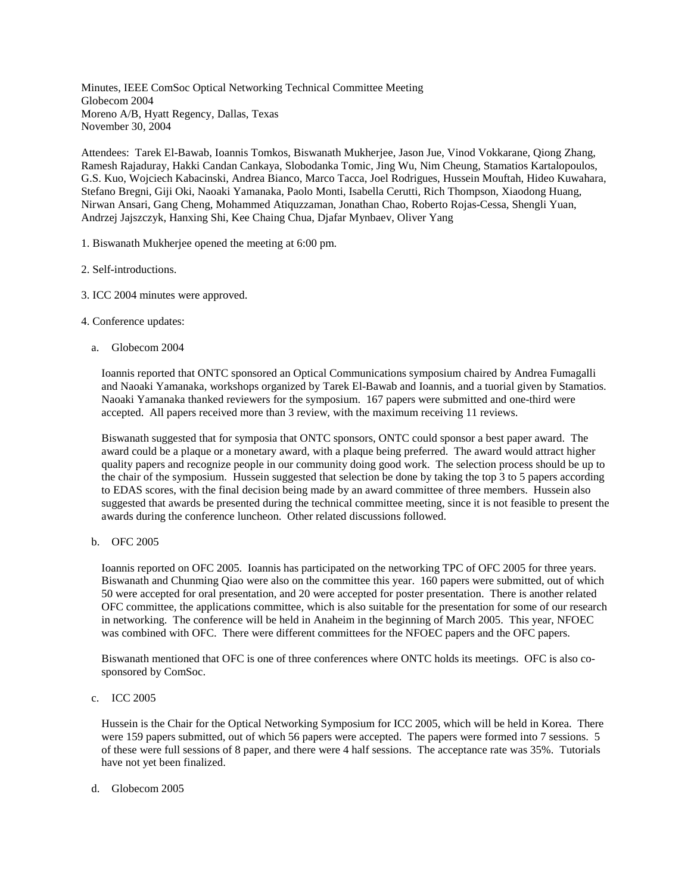Minutes, IEEE ComSoc Optical Networking Technical Committee Meeting Globecom 2004 Moreno A/B, Hyatt Regency, Dallas, Texas November 30, 2004

Attendees: Tarek El-Bawab, Ioannis Tomkos, Biswanath Mukherjee, Jason Jue, Vinod Vokkarane, Qiong Zhang, Ramesh Rajaduray, Hakki Candan Cankaya, Slobodanka Tomic, Jing Wu, Nim Cheung, Stamatios Kartalopoulos, G.S. Kuo, Wojciech Kabacinski, Andrea Bianco, Marco Tacca, Joel Rodrigues, Hussein Mouftah, Hideo Kuwahara, Stefano Bregni, Giji Oki, Naoaki Yamanaka, Paolo Monti, Isabella Cerutti, Rich Thompson, Xiaodong Huang, Nirwan Ansari, Gang Cheng, Mohammed Atiquzzaman, Jonathan Chao, Roberto Rojas-Cessa, Shengli Yuan, Andrzej Jajszczyk, Hanxing Shi, Kee Chaing Chua, Djafar Mynbaev, Oliver Yang

- 1. Biswanath Mukherjee opened the meeting at 6:00 pm.
- 2. Self-introductions.
- 3. ICC 2004 minutes were approved.
- 4. Conference updates:
	- a. Globecom 2004

Ioannis reported that ONTC sponsored an Optical Communications symposium chaired by Andrea Fumagalli and Naoaki Yamanaka, workshops organized by Tarek El-Bawab and Ioannis, and a tuorial given by Stamatios. Naoaki Yamanaka thanked reviewers for the symposium. 167 papers were submitted and one-third were accepted. All papers received more than 3 review, with the maximum receiving 11 reviews.

Biswanath suggested that for symposia that ONTC sponsors, ONTC could sponsor a best paper award. The award could be a plaque or a monetary award, with a plaque being preferred. The award would attract higher quality papers and recognize people in our community doing good work. The selection process should be up to the chair of the symposium. Hussein suggested that selection be done by taking the top 3 to 5 papers according to EDAS scores, with the final decision being made by an award committee of three members. Hussein also suggested that awards be presented during the technical committee meeting, since it is not feasible to present the awards during the conference luncheon. Other related discussions followed.

b. OFC 2005

Ioannis reported on OFC 2005. Ioannis has participated on the networking TPC of OFC 2005 for three years. Biswanath and Chunming Qiao were also on the committee this year. 160 papers were submitted, out of which 50 were accepted for oral presentation, and 20 were accepted for poster presentation. There is another related OFC committee, the applications committee, which is also suitable for the presentation for some of our research in networking. The conference will be held in Anaheim in the beginning of March 2005. This year, NFOEC was combined with OFC. There were different committees for the NFOEC papers and the OFC papers.

Biswanath mentioned that OFC is one of three conferences where ONTC holds its meetings. OFC is also cosponsored by ComSoc.

c. ICC 2005

Hussein is the Chair for the Optical Networking Symposium for ICC 2005, which will be held in Korea. There were 159 papers submitted, out of which 56 papers were accepted. The papers were formed into 7 sessions. 5 of these were full sessions of 8 paper, and there were 4 half sessions. The acceptance rate was 35%. Tutorials have not yet been finalized.

d. Globecom 2005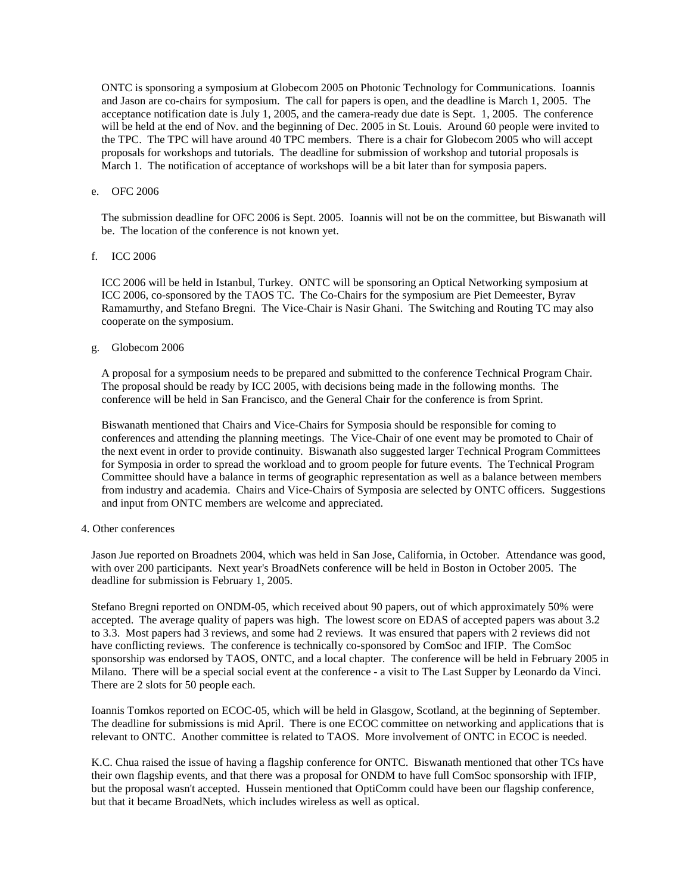ONTC is sponsoring a symposium at Globecom 2005 on Photonic Technology for Communications. Ioannis and Jason are co-chairs for symposium. The call for papers is open, and the deadline is March 1, 2005. The acceptance notification date is July 1, 2005, and the camera-ready due date is Sept. 1, 2005. The conference will be held at the end of Nov. and the beginning of Dec. 2005 in St. Louis. Around 60 people were invited to the TPC. The TPC will have around 40 TPC members. There is a chair for Globecom 2005 who will accept proposals for workshops and tutorials. The deadline for submission of workshop and tutorial proposals is March 1. The notification of acceptance of workshops will be a bit later than for symposia papers.

# e. OFC 2006

The submission deadline for OFC 2006 is Sept. 2005. Ioannis will not be on the committee, but Biswanath will be. The location of the conference is not known yet.

## f. ICC 2006

ICC 2006 will be held in Istanbul, Turkey. ONTC will be sponsoring an Optical Networking symposium at ICC 2006, co-sponsored by the TAOS TC. The Co-Chairs for the symposium are Piet Demeester, Byrav Ramamurthy, and Stefano Bregni. The Vice-Chair is Nasir Ghani. The Switching and Routing TC may also cooperate on the symposium.

# g. Globecom 2006

A proposal for a symposium needs to be prepared and submitted to the conference Technical Program Chair. The proposal should be ready by ICC 2005, with decisions being made in the following months. The conference will be held in San Francisco, and the General Chair for the conference is from Sprint.

Biswanath mentioned that Chairs and Vice-Chairs for Symposia should be responsible for coming to conferences and attending the planning meetings. The Vice-Chair of one event may be promoted to Chair of the next event in order to provide continuity. Biswanath also suggested larger Technical Program Committees for Symposia in order to spread the workload and to groom people for future events. The Technical Program Committee should have a balance in terms of geographic representation as well as a balance between members from industry and academia. Chairs and Vice-Chairs of Symposia are selected by ONTC officers. Suggestions and input from ONTC members are welcome and appreciated.

# 4. Other conferences

Jason Jue reported on Broadnets 2004, which was held in San Jose, California, in October. Attendance was good, with over 200 participants. Next year's BroadNets conference will be held in Boston in October 2005. The deadline for submission is February 1, 2005.

Stefano Bregni reported on ONDM-05, which received about 90 papers, out of which approximately 50% were accepted. The average quality of papers was high. The lowest score on EDAS of accepted papers was about 3.2 to 3.3. Most papers had 3 reviews, and some had 2 reviews. It was ensured that papers with 2 reviews did not have conflicting reviews. The conference is technically co-sponsored by ComSoc and IFIP. The ComSoc sponsorship was endorsed by TAOS, ONTC, and a local chapter. The conference will be held in February 2005 in Milano. There will be a special social event at the conference - a visit to The Last Supper by Leonardo da Vinci. There are 2 slots for 50 people each.

Ioannis Tomkos reported on ECOC-05, which will be held in Glasgow, Scotland, at the beginning of September. The deadline for submissions is mid April. There is one ECOC committee on networking and applications that is relevant to ONTC. Another committee is related to TAOS. More involvement of ONTC in ECOC is needed.

K.C. Chua raised the issue of having a flagship conference for ONTC. Biswanath mentioned that other TCs have their own flagship events, and that there was a proposal for ONDM to have full ComSoc sponsorship with IFIP, but the proposal wasn't accepted. Hussein mentioned that OptiComm could have been our flagship conference, but that it became BroadNets, which includes wireless as well as optical.